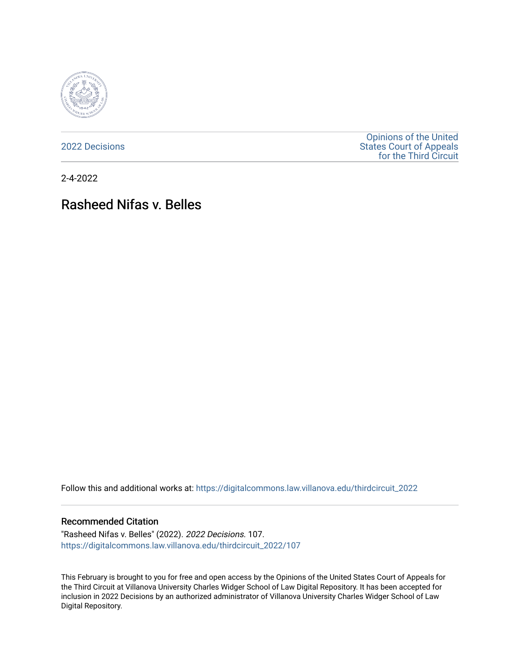

[2022 Decisions](https://digitalcommons.law.villanova.edu/thirdcircuit_2022)

[Opinions of the United](https://digitalcommons.law.villanova.edu/thirdcircuit)  [States Court of Appeals](https://digitalcommons.law.villanova.edu/thirdcircuit)  [for the Third Circuit](https://digitalcommons.law.villanova.edu/thirdcircuit) 

2-4-2022

# Rasheed Nifas v. Belles

Follow this and additional works at: [https://digitalcommons.law.villanova.edu/thirdcircuit\\_2022](https://digitalcommons.law.villanova.edu/thirdcircuit_2022?utm_source=digitalcommons.law.villanova.edu%2Fthirdcircuit_2022%2F107&utm_medium=PDF&utm_campaign=PDFCoverPages) 

#### Recommended Citation

"Rasheed Nifas v. Belles" (2022). 2022 Decisions. 107. [https://digitalcommons.law.villanova.edu/thirdcircuit\\_2022/107](https://digitalcommons.law.villanova.edu/thirdcircuit_2022/107?utm_source=digitalcommons.law.villanova.edu%2Fthirdcircuit_2022%2F107&utm_medium=PDF&utm_campaign=PDFCoverPages)

This February is brought to you for free and open access by the Opinions of the United States Court of Appeals for the Third Circuit at Villanova University Charles Widger School of Law Digital Repository. It has been accepted for inclusion in 2022 Decisions by an authorized administrator of Villanova University Charles Widger School of Law Digital Repository.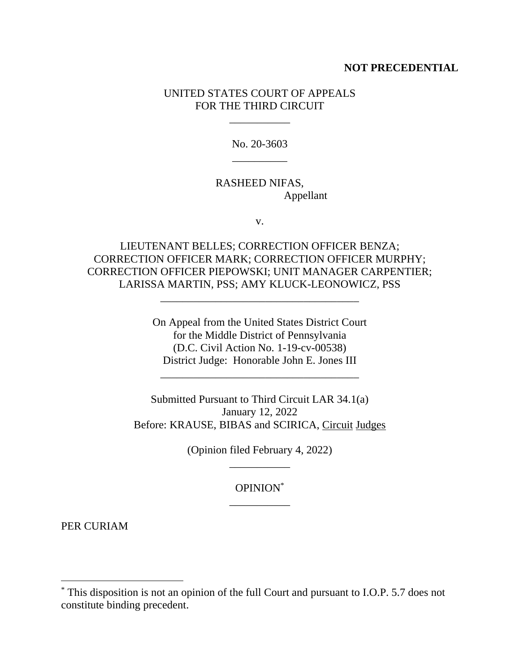## **NOT PRECEDENTIAL**

## UNITED STATES COURT OF APPEALS FOR THE THIRD CIRCUIT

\_\_\_\_\_\_\_\_\_\_\_

No. 20-3603 \_\_\_\_\_\_\_\_\_\_

## RASHEED NIFAS, Appellant

v.

LIEUTENANT BELLES; CORRECTION OFFICER BENZA; CORRECTION OFFICER MARK; CORRECTION OFFICER MURPHY; CORRECTION OFFICER PIEPOWSKI; UNIT MANAGER CARPENTIER; LARISSA MARTIN, PSS; AMY KLUCK-LEONOWICZ, PSS

\_\_\_\_\_\_\_\_\_\_\_\_\_\_\_\_\_\_\_\_\_\_\_\_\_\_\_\_\_\_\_\_\_\_\_\_

On Appeal from the United States District Court for the Middle District of Pennsylvania (D.C. Civil Action No. 1-19-cv-00538) District Judge: Honorable John E. Jones III

\_\_\_\_\_\_\_\_\_\_\_\_\_\_\_\_\_\_\_\_\_\_\_\_\_\_\_\_\_\_\_\_\_\_\_\_

Submitted Pursuant to Third Circuit LAR 34.1(a) January 12, 2022 Before: KRAUSE, BIBAS and SCIRICA, Circuit Judges

> (Opinion filed February 4, 2022) \_\_\_\_\_\_\_\_\_\_\_

> > OPINION\* \_\_\_\_\_\_\_\_\_\_\_

PER CURIAM

<sup>\*</sup> This disposition is not an opinion of the full Court and pursuant to I.O.P. 5.7 does not constitute binding precedent.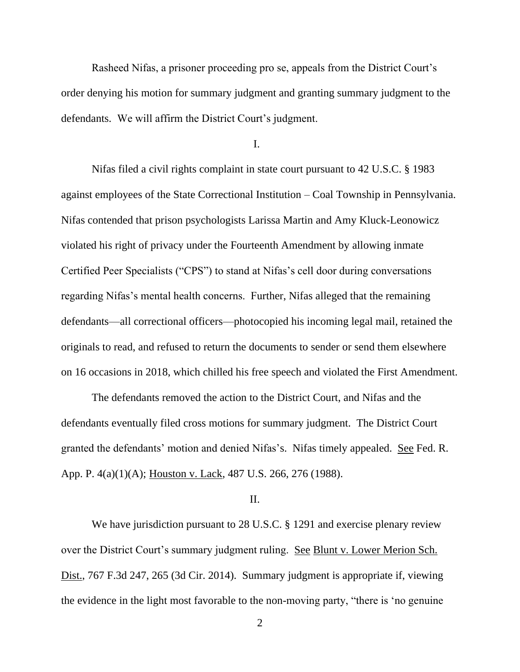Rasheed Nifas, a prisoner proceeding pro se, appeals from the District Court's order denying his motion for summary judgment and granting summary judgment to the defendants. We will affirm the District Court's judgment.

I.

Nifas filed a civil rights complaint in state court pursuant to 42 U.S.C. § 1983 against employees of the State Correctional Institution – Coal Township in Pennsylvania. Nifas contended that prison psychologists Larissa Martin and Amy Kluck-Leonowicz violated his right of privacy under the Fourteenth Amendment by allowing inmate Certified Peer Specialists ("CPS") to stand at Nifas's cell door during conversations regarding Nifas's mental health concerns. Further, Nifas alleged that the remaining defendants—all correctional officers—photocopied his incoming legal mail, retained the originals to read, and refused to return the documents to sender or send them elsewhere on 16 occasions in 2018, which chilled his free speech and violated the First Amendment.

The defendants removed the action to the District Court, and Nifas and the defendants eventually filed cross motions for summary judgment. The District Court granted the defendants' motion and denied Nifas's. Nifas timely appealed. See Fed. R. App. P. 4(a)(1)(A); Houston v. Lack, 487 U.S. 266, 276 (1988).

#### II.

We have jurisdiction pursuant to 28 U.S.C. § 1291 and exercise plenary review over the District Court's summary judgment ruling. See Blunt v. Lower Merion Sch. Dist., 767 F.3d 247, 265 (3d Cir. 2014). Summary judgment is appropriate if, viewing the evidence in the light most favorable to the non-moving party, "there is 'no genuine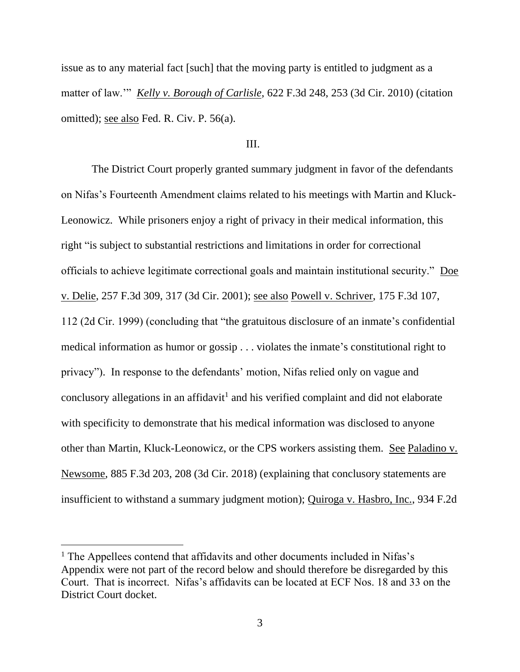issue as to any material fact [such] that the moving party is entitled to judgment as a matter of law.'" *Kelly v. Borough of Carlisle*, 622 F.3d 248, 253 (3d Cir. 2010) (citation omitted); see also Fed. R. Civ. P. 56(a).

### III.

The District Court properly granted summary judgment in favor of the defendants on Nifas's Fourteenth Amendment claims related to his meetings with Martin and Kluck-Leonowicz. While prisoners enjoy a right of privacy in their medical information, this right "is subject to substantial restrictions and limitations in order for correctional officials to achieve legitimate correctional goals and maintain institutional security." Doe v. Delie, 257 F.3d 309, 317 (3d Cir. 2001); see also Powell v. Schriver, 175 F.3d 107, 112 (2d Cir. 1999) (concluding that "the gratuitous disclosure of an inmate's confidential medical information as humor or gossip . . . violates the inmate's constitutional right to privacy"). In response to the defendants' motion, Nifas relied only on vague and conclusory allegations in an affidavit<sup>1</sup> and his verified complaint and did not elaborate with specificity to demonstrate that his medical information was disclosed to anyone other than Martin, Kluck-Leonowicz, or the CPS workers assisting them. See Paladino v. Newsome, 885 F.3d 203, 208 (3d Cir. 2018) (explaining that conclusory statements are insufficient to withstand a summary judgment motion); Quiroga v. Hasbro, Inc., 934 F.2d

<sup>&</sup>lt;sup>1</sup> The Appellees contend that affidavits and other documents included in Nifas's Appendix were not part of the record below and should therefore be disregarded by this Court. That is incorrect. Nifas's affidavits can be located at ECF Nos. 18 and 33 on the District Court docket.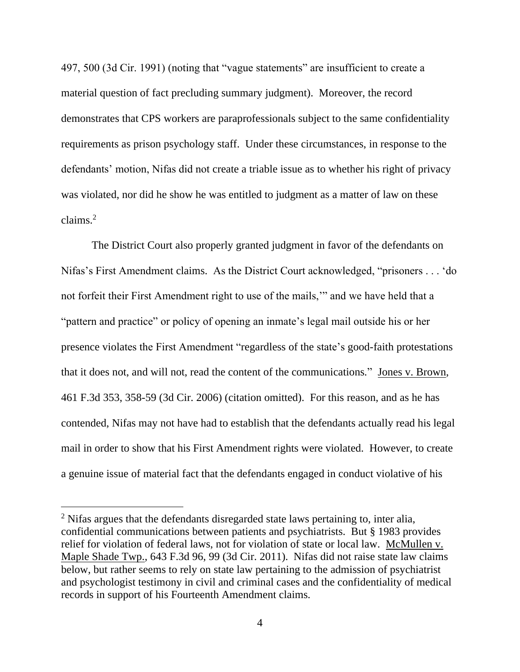497, 500 (3d Cir. 1991) (noting that "vague statements" are insufficient to create a material question of fact precluding summary judgment). Moreover, the record demonstrates that CPS workers are paraprofessionals subject to the same confidentiality requirements as prison psychology staff. Under these circumstances, in response to the defendants' motion, Nifas did not create a triable issue as to whether his right of privacy was violated, nor did he show he was entitled to judgment as a matter of law on these claims.<sup>2</sup>

The District Court also properly granted judgment in favor of the defendants on Nifas's First Amendment claims. As the District Court acknowledged, "prisoners . . . 'do not forfeit their First Amendment right to use of the mails,'" and we have held that a "pattern and practice" or policy of opening an inmate's legal mail outside his or her presence violates the First Amendment "regardless of the state's good-faith protestations that it does not, and will not, read the content of the communications*.*" Jones v. Brown, 461 F.3d 353, 358-59 (3d Cir. 2006) (citation omitted). For this reason, and as he has contended, Nifas may not have had to establish that the defendants actually read his legal mail in order to show that his First Amendment rights were violated. However, to create a genuine issue of material fact that the defendants engaged in conduct violative of his

<sup>&</sup>lt;sup>2</sup> Nifas argues that the defendants disregarded state laws pertaining to, inter alia, confidential communications between patients and psychiatrists. But § 1983 provides relief for violation of federal laws, not for violation of state or local law. McMullen v. Maple Shade Twp., 643 F.3d 96, 99 (3d Cir. 2011). Nifas did not raise state law claims below, but rather seems to rely on state law pertaining to the admission of psychiatrist and psychologist testimony in civil and criminal cases and the confidentiality of medical records in support of his Fourteenth Amendment claims.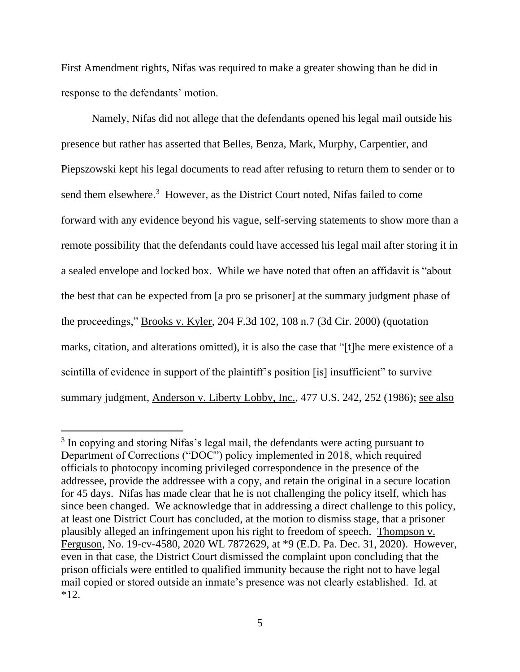First Amendment rights, Nifas was required to make a greater showing than he did in response to the defendants' motion.

Namely, Nifas did not allege that the defendants opened his legal mail outside his presence but rather has asserted that Belles, Benza, Mark, Murphy, Carpentier, and Piepszowski kept his legal documents to read after refusing to return them to sender or to send them elsewhere.<sup>3</sup> However, as the District Court noted, Nifas failed to come forward with any evidence beyond his vague, self-serving statements to show more than a remote possibility that the defendants could have accessed his legal mail after storing it in a sealed envelope and locked box. While we have noted that often an affidavit is "about the best that can be expected from [a pro se prisoner] at the summary judgment phase of the proceedings," Brooks v. Kyler, 204 F.3d 102, 108 n.7 (3d Cir. 2000) (quotation marks, citation, and alterations omitted), it is also the case that "[t]he mere existence of a scintilla of evidence in support of the plaintiff's position [is] insufficient" to survive summary judgment, Anderson v. Liberty Lobby, Inc., 477 U.S. 242, 252 (1986); see also

<sup>&</sup>lt;sup>3</sup> In copying and storing Nifas's legal mail, the defendants were acting pursuant to Department of Corrections ("DOC") policy implemented in 2018, which required officials to photocopy incoming privileged correspondence in the presence of the addressee, provide the addressee with a copy, and retain the original in a secure location for 45 days. Nifas has made clear that he is not challenging the policy itself, which has since been changed. We acknowledge that in addressing a direct challenge to this policy, at least one District Court has concluded, at the motion to dismiss stage, that a prisoner plausibly alleged an infringement upon his right to freedom of speech. Thompson v. Ferguson, No. 19-cv-4580, 2020 WL 7872629, at \*9 (E.D. Pa. Dec. 31, 2020). However, even in that case, the District Court dismissed the complaint upon concluding that the prison officials were entitled to qualified immunity because the right not to have legal mail copied or stored outside an inmate's presence was not clearly established. Id. at \*12.